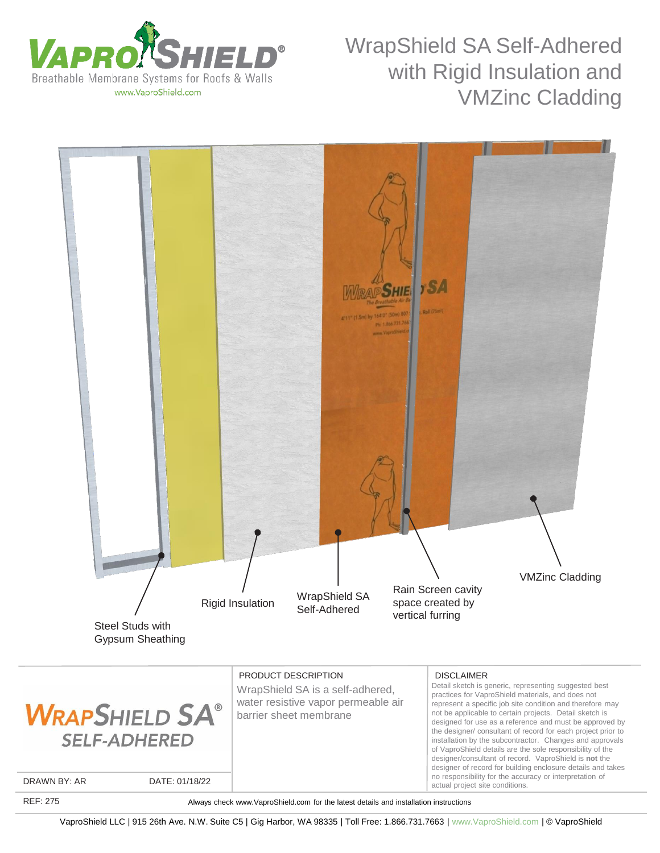



REF: 275

Always check www.VaproShield.com for the latest details and installation instructions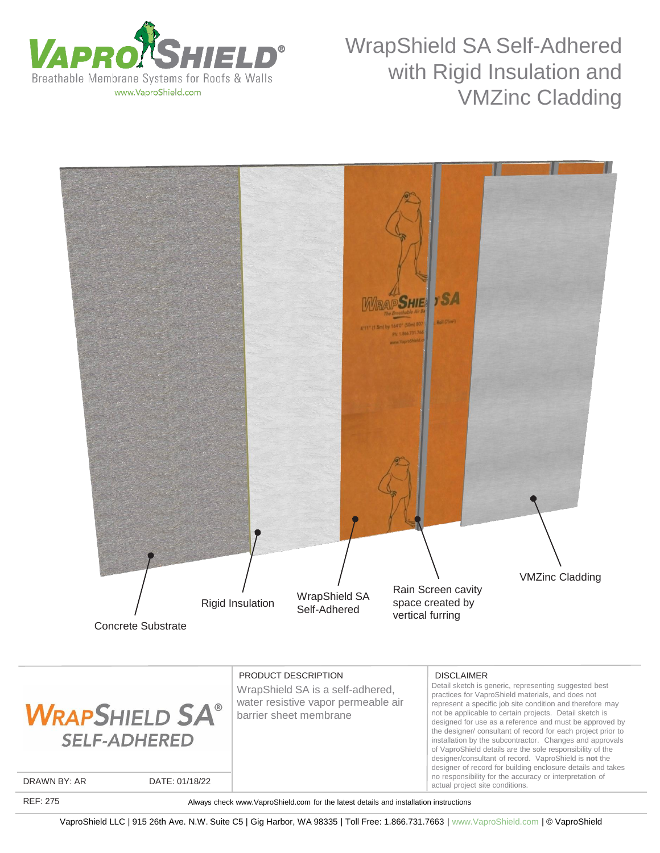





PRODUCT DESCRIPTION

WrapShield SA is a self-adhered, water resistive vapor permeable air barrier sheet membrane

## DISCLAIMER

Detail sketch is generic, representing suggested best practices for VaproShield materials, and does not represent a specific job site condition and therefore may not be applicable to certain projects. Detail sketch is designed for use as a reference and must be approved by the designer/ consultant of record for each project prior to installation by the subcontractor. Changes and approvals of VaproShield details are the sole responsibility of the designer/consultant of record. VaproShield is **not** the designer of record for building enclosure details and takes no responsibility for the accuracy or interpretation of actual project site conditions.

DRAWN BY: AR DATE: 01/18/22

REF: 275

Always check www.VaproShield.com for the latest details and installation instructions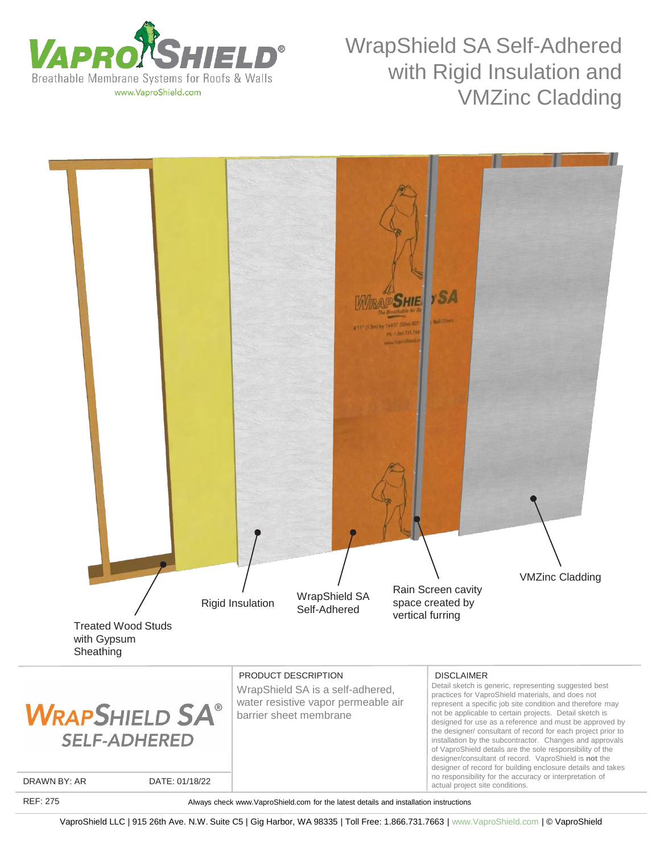